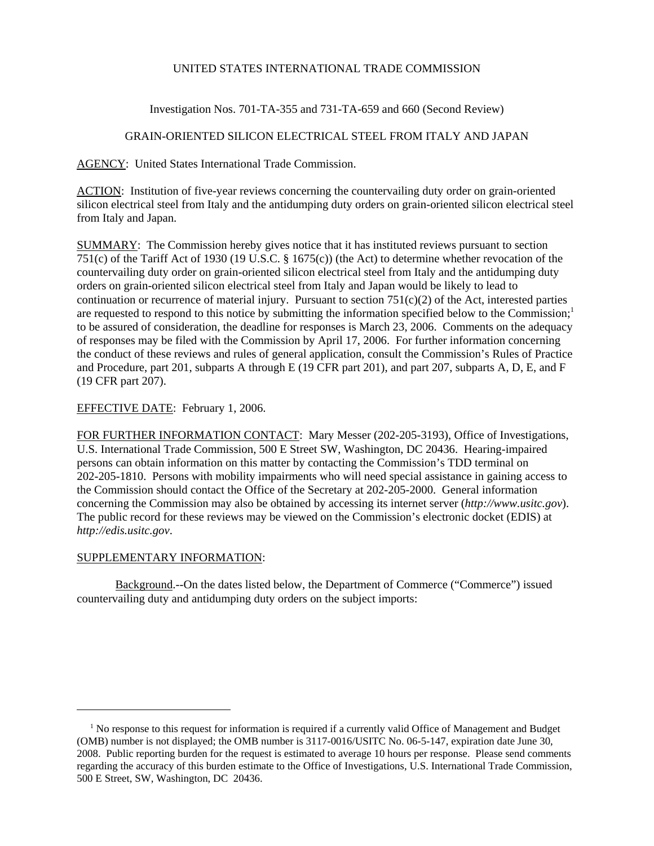## UNITED STATES INTERNATIONAL TRADE COMMISSION

Investigation Nos. 701-TA-355 and 731-TA-659 and 660 (Second Review)

## GRAIN-ORIENTED SILICON ELECTRICAL STEEL FROM ITALY AND JAPAN

AGENCY: United States International Trade Commission.

ACTION: Institution of five-year reviews concerning the countervailing duty order on grain-oriented silicon electrical steel from Italy and the antidumping duty orders on grain-oriented silicon electrical steel from Italy and Japan.

SUMMARY: The Commission hereby gives notice that it has instituted reviews pursuant to section 751(c) of the Tariff Act of 1930 (19 U.S.C. § 1675(c)) (the Act) to determine whether revocation of the countervailing duty order on grain-oriented silicon electrical steel from Italy and the antidumping duty orders on grain-oriented silicon electrical steel from Italy and Japan would be likely to lead to continuation or recurrence of material injury. Pursuant to section  $751(c)(2)$  of the Act, interested parties are requested to respond to this notice by submitting the information specified below to the Commission;<sup>1</sup> to be assured of consideration, the deadline for responses is March 23, 2006. Comments on the adequacy of responses may be filed with the Commission by April 17, 2006. For further information concerning the conduct of these reviews and rules of general application, consult the Commission's Rules of Practice and Procedure, part 201, subparts A through E (19 CFR part 201), and part 207, subparts A, D, E, and F (19 CFR part 207).

EFFECTIVE DATE: February 1, 2006.

FOR FURTHER INFORMATION CONTACT: Mary Messer (202-205-3193), Office of Investigations, U.S. International Trade Commission, 500 E Street SW, Washington, DC 20436. Hearing-impaired persons can obtain information on this matter by contacting the Commission's TDD terminal on 202-205-1810. Persons with mobility impairments who will need special assistance in gaining access to the Commission should contact the Office of the Secretary at 202-205-2000. General information concerning the Commission may also be obtained by accessing its internet server (*http://www.usitc.gov*). The public record for these reviews may be viewed on the Commission's electronic docket (EDIS) at *http://edis.usitc.gov*.

## SUPPLEMENTARY INFORMATION:

Background.--On the dates listed below, the Department of Commerce ("Commerce") issued countervailing duty and antidumping duty orders on the subject imports:

<sup>&</sup>lt;sup>1</sup> No response to this request for information is required if a currently valid Office of Management and Budget (OMB) number is not displayed; the OMB number is 3117-0016/USITC No. 06-5-147, expiration date June 30, 2008. Public reporting burden for the request is estimated to average 10 hours per response. Please send comments regarding the accuracy of this burden estimate to the Office of Investigations, U.S. International Trade Commission, 500 E Street, SW, Washington, DC 20436.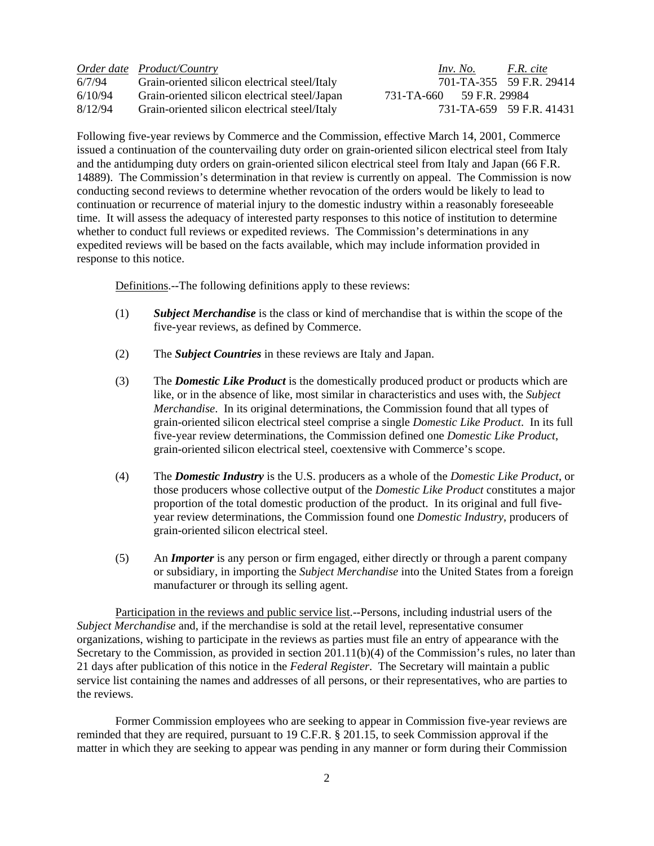|         | Order date Product/Country                    | Inv. No.                 | <i>F.R. cite</i>         |
|---------|-----------------------------------------------|--------------------------|--------------------------|
| 6/7/94  | Grain-oriented silicon electrical steel/Italy |                          | 701-TA-355 59 F.R. 29414 |
| 6/10/94 | Grain-oriented silicon electrical steel/Japan | 731-TA-660 59 F.R. 29984 |                          |
| 8/12/94 | Grain-oriented silicon electrical steel/Italy |                          | 731-TA-659 59 F.R. 41431 |

Following five-year reviews by Commerce and the Commission, effective March 14, 2001, Commerce issued a continuation of the countervailing duty order on grain-oriented silicon electrical steel from Italy and the antidumping duty orders on grain-oriented silicon electrical steel from Italy and Japan (66 F.R. 14889). The Commission's determination in that review is currently on appeal. The Commission is now conducting second reviews to determine whether revocation of the orders would be likely to lead to continuation or recurrence of material injury to the domestic industry within a reasonably foreseeable time. It will assess the adequacy of interested party responses to this notice of institution to determine whether to conduct full reviews or expedited reviews. The Commission's determinations in any expedited reviews will be based on the facts available, which may include information provided in response to this notice.

Definitions.--The following definitions apply to these reviews:

- (1) *Subject Merchandise* is the class or kind of merchandise that is within the scope of the five-year reviews, as defined by Commerce.
- (2) The *Subject Countries* in these reviews are Italy and Japan.
- (3) The *Domestic Like Product* is the domestically produced product or products which are like, or in the absence of like, most similar in characteristics and uses with, the *Subject Merchandise*. In its original determinations, the Commission found that all types of grain-oriented silicon electrical steel comprise a single *Domestic Like Product*. In its full five-year review determinations, the Commission defined one *Domestic Like Product*, grain-oriented silicon electrical steel, coextensive with Commerce's scope.
- (4) The *Domestic Industry* is the U.S. producers as a whole of the *Domestic Like Product*, or those producers whose collective output of the *Domestic Like Product* constitutes a major proportion of the total domestic production of the product. In its original and full fiveyear review determinations, the Commission found one *Domestic Industry*, producers of grain-oriented silicon electrical steel.
- (5) An *Importer* is any person or firm engaged, either directly or through a parent company or subsidiary, in importing the *Subject Merchandise* into the United States from a foreign manufacturer or through its selling agent.

Participation in the reviews and public service list.--Persons, including industrial users of the *Subject Merchandise* and, if the merchandise is sold at the retail level, representative consumer organizations, wishing to participate in the reviews as parties must file an entry of appearance with the Secretary to the Commission, as provided in section 201.11(b)(4) of the Commission's rules, no later than 21 days after publication of this notice in the *Federal Register*. The Secretary will maintain a public service list containing the names and addresses of all persons, or their representatives, who are parties to the reviews.

Former Commission employees who are seeking to appear in Commission five-year reviews are reminded that they are required, pursuant to 19 C.F.R. § 201.15, to seek Commission approval if the matter in which they are seeking to appear was pending in any manner or form during their Commission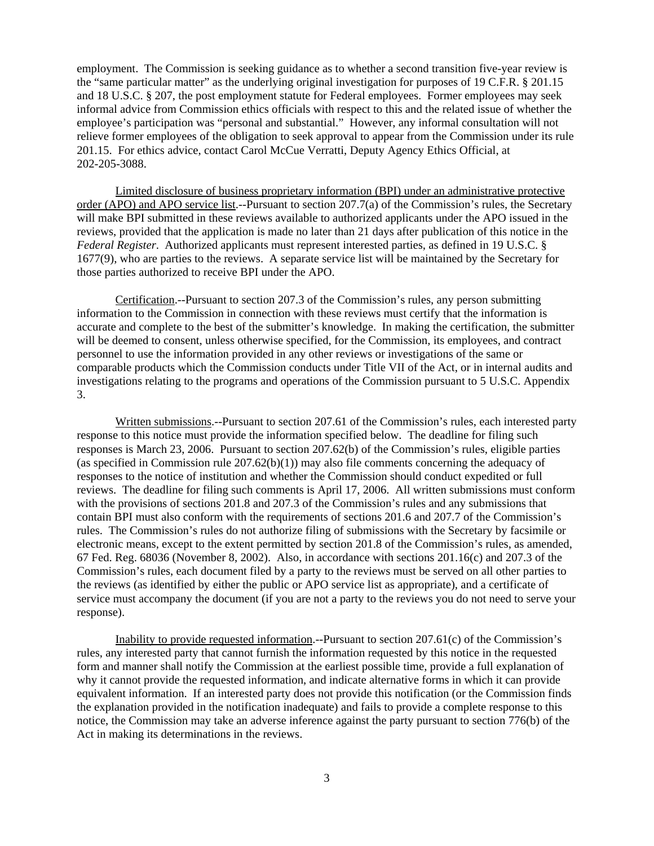employment. The Commission is seeking guidance as to whether a second transition five-year review is the "same particular matter" as the underlying original investigation for purposes of 19 C.F.R. § 201.15 and 18 U.S.C. § 207, the post employment statute for Federal employees. Former employees may seek informal advice from Commission ethics officials with respect to this and the related issue of whether the employee's participation was "personal and substantial." However, any informal consultation will not relieve former employees of the obligation to seek approval to appear from the Commission under its rule 201.15. For ethics advice, contact Carol McCue Verratti, Deputy Agency Ethics Official, at 202-205-3088.

Limited disclosure of business proprietary information (BPI) under an administrative protective order (APO) and APO service list.--Pursuant to section 207.7(a) of the Commission's rules, the Secretary will make BPI submitted in these reviews available to authorized applicants under the APO issued in the reviews, provided that the application is made no later than 21 days after publication of this notice in the *Federal Register*. Authorized applicants must represent interested parties, as defined in 19 U.S.C. § 1677(9), who are parties to the reviews. A separate service list will be maintained by the Secretary for those parties authorized to receive BPI under the APO.

Certification.--Pursuant to section 207.3 of the Commission's rules, any person submitting information to the Commission in connection with these reviews must certify that the information is accurate and complete to the best of the submitter's knowledge. In making the certification, the submitter will be deemed to consent, unless otherwise specified, for the Commission, its employees, and contract personnel to use the information provided in any other reviews or investigations of the same or comparable products which the Commission conducts under Title VII of the Act, or in internal audits and investigations relating to the programs and operations of the Commission pursuant to 5 U.S.C. Appendix 3.

Written submissions.--Pursuant to section 207.61 of the Commission's rules, each interested party response to this notice must provide the information specified below. The deadline for filing such responses is March 23, 2006. Pursuant to section 207.62(b) of the Commission's rules, eligible parties (as specified in Commission rule  $207.62(b)(1)$ ) may also file comments concerning the adequacy of responses to the notice of institution and whether the Commission should conduct expedited or full reviews. The deadline for filing such comments is April 17, 2006. All written submissions must conform with the provisions of sections 201.8 and 207.3 of the Commission's rules and any submissions that contain BPI must also conform with the requirements of sections 201.6 and 207.7 of the Commission's rules. The Commission's rules do not authorize filing of submissions with the Secretary by facsimile or electronic means, except to the extent permitted by section 201.8 of the Commission's rules, as amended, 67 Fed. Reg. 68036 (November 8, 2002). Also, in accordance with sections 201.16(c) and 207.3 of the Commission's rules, each document filed by a party to the reviews must be served on all other parties to the reviews (as identified by either the public or APO service list as appropriate), and a certificate of service must accompany the document (if you are not a party to the reviews you do not need to serve your response).

Inability to provide requested information.--Pursuant to section 207.61(c) of the Commission's rules, any interested party that cannot furnish the information requested by this notice in the requested form and manner shall notify the Commission at the earliest possible time, provide a full explanation of why it cannot provide the requested information, and indicate alternative forms in which it can provide equivalent information. If an interested party does not provide this notification (or the Commission finds the explanation provided in the notification inadequate) and fails to provide a complete response to this notice, the Commission may take an adverse inference against the party pursuant to section 776(b) of the Act in making its determinations in the reviews.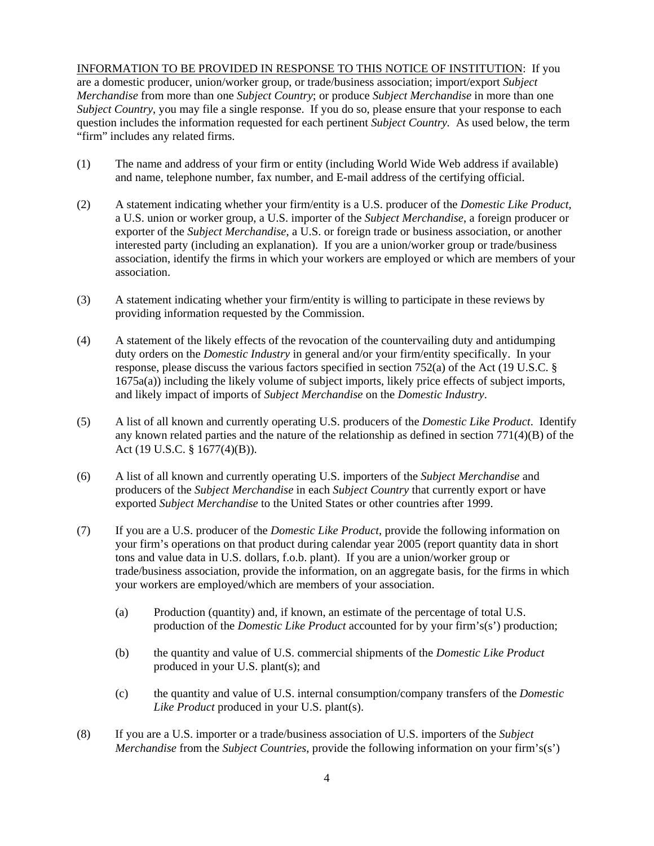INFORMATION TO BE PROVIDED IN RESPONSE TO THIS NOTICE OF INSTITUTION: If you are a domestic producer, union/worker group, or trade/business association; import/export *Subject Merchandise* from more than one *Subject Country*; or produce *Subject Merchandise* in more than one *Subject Country*, you may file a single response. If you do so, please ensure that your response to each question includes the information requested for each pertinent *Subject Country.* As used below, the term "firm" includes any related firms.

- (1) The name and address of your firm or entity (including World Wide Web address if available) and name, telephone number, fax number, and E-mail address of the certifying official.
- (2) A statement indicating whether your firm/entity is a U.S. producer of the *Domestic Like Product*, a U.S. union or worker group, a U.S. importer of the *Subject Merchandise*, a foreign producer or exporter of the *Subject Merchandise*, a U.S. or foreign trade or business association, or another interested party (including an explanation). If you are a union/worker group or trade/business association, identify the firms in which your workers are employed or which are members of your association.
- (3) A statement indicating whether your firm/entity is willing to participate in these reviews by providing information requested by the Commission.
- (4) A statement of the likely effects of the revocation of the countervailing duty and antidumping duty orders on the *Domestic Industry* in general and/or your firm/entity specifically. In your response, please discuss the various factors specified in section 752(a) of the Act (19 U.S.C. § 1675a(a)) including the likely volume of subject imports, likely price effects of subject imports, and likely impact of imports of *Subject Merchandise* on the *Domestic Industry*.
- (5) A list of all known and currently operating U.S. producers of the *Domestic Like Product*. Identify any known related parties and the nature of the relationship as defined in section 771(4)(B) of the Act (19 U.S.C. § 1677(4)(B)).
- (6) A list of all known and currently operating U.S. importers of the *Subject Merchandise* and producers of the *Subject Merchandise* in each *Subject Country* that currently export or have exported *Subject Merchandise* to the United States or other countries after 1999.
- (7) If you are a U.S. producer of the *Domestic Like Product*, provide the following information on your firm's operations on that product during calendar year 2005 (report quantity data in short tons and value data in U.S. dollars, f.o.b. plant). If you are a union/worker group or trade/business association, provide the information, on an aggregate basis, for the firms in which your workers are employed/which are members of your association.
	- (a) Production (quantity) and, if known, an estimate of the percentage of total U.S. production of the *Domestic Like Product* accounted for by your firm's(s') production;
	- (b) the quantity and value of U.S. commercial shipments of the *Domestic Like Product* produced in your U.S. plant(s); and
	- (c) the quantity and value of U.S. internal consumption/company transfers of the *Domestic Like Product* produced in your U.S. plant(s).
- (8) If you are a U.S. importer or a trade/business association of U.S. importers of the *Subject Merchandise* from the *Subject Countries*, provide the following information on your firm's(s')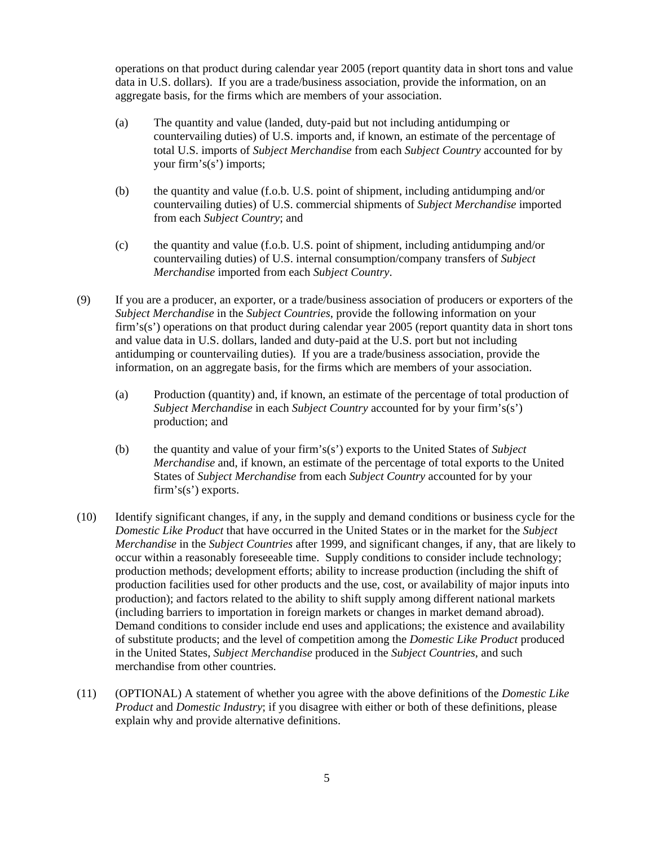operations on that product during calendar year 2005 (report quantity data in short tons and value data in U.S. dollars). If you are a trade/business association, provide the information, on an aggregate basis, for the firms which are members of your association.

- (a) The quantity and value (landed, duty-paid but not including antidumping or countervailing duties) of U.S. imports and, if known, an estimate of the percentage of total U.S. imports of *Subject Merchandise* from each *Subject Country* accounted for by your firm's(s') imports;
- (b) the quantity and value (f.o.b. U.S. point of shipment, including antidumping and/or countervailing duties) of U.S. commercial shipments of *Subject Merchandise* imported from each *Subject Country*; and
- (c) the quantity and value (f.o.b. U.S. point of shipment, including antidumping and/or countervailing duties) of U.S. internal consumption/company transfers of *Subject Merchandise* imported from each *Subject Country*.
- (9) If you are a producer, an exporter, or a trade/business association of producers or exporters of the *Subject Merchandise* in the *Subject Countries*, provide the following information on your firm's(s') operations on that product during calendar year 2005 (report quantity data in short tons and value data in U.S. dollars, landed and duty-paid at the U.S. port but not including antidumping or countervailing duties). If you are a trade/business association, provide the information, on an aggregate basis, for the firms which are members of your association.
	- (a) Production (quantity) and, if known, an estimate of the percentage of total production of *Subject Merchandise* in each *Subject Country* accounted for by your firm's(s') production; and
	- (b) the quantity and value of your firm's(s') exports to the United States of *Subject Merchandise* and, if known, an estimate of the percentage of total exports to the United States of *Subject Merchandise* from each *Subject Country* accounted for by your firm's(s') exports.
- (10) Identify significant changes, if any, in the supply and demand conditions or business cycle for the *Domestic Like Product* that have occurred in the United States or in the market for the *Subject Merchandise* in the *Subject Countries* after 1999, and significant changes, if any, that are likely to occur within a reasonably foreseeable time. Supply conditions to consider include technology; production methods; development efforts; ability to increase production (including the shift of production facilities used for other products and the use, cost, or availability of major inputs into production); and factors related to the ability to shift supply among different national markets (including barriers to importation in foreign markets or changes in market demand abroad). Demand conditions to consider include end uses and applications; the existence and availability of substitute products; and the level of competition among the *Domestic Like Product* produced in the United States, *Subject Merchandise* produced in the *Subject Countries*, and such merchandise from other countries.
- (11) (OPTIONAL) A statement of whether you agree with the above definitions of the *Domestic Like Product* and *Domestic Industry*; if you disagree with either or both of these definitions, please explain why and provide alternative definitions.